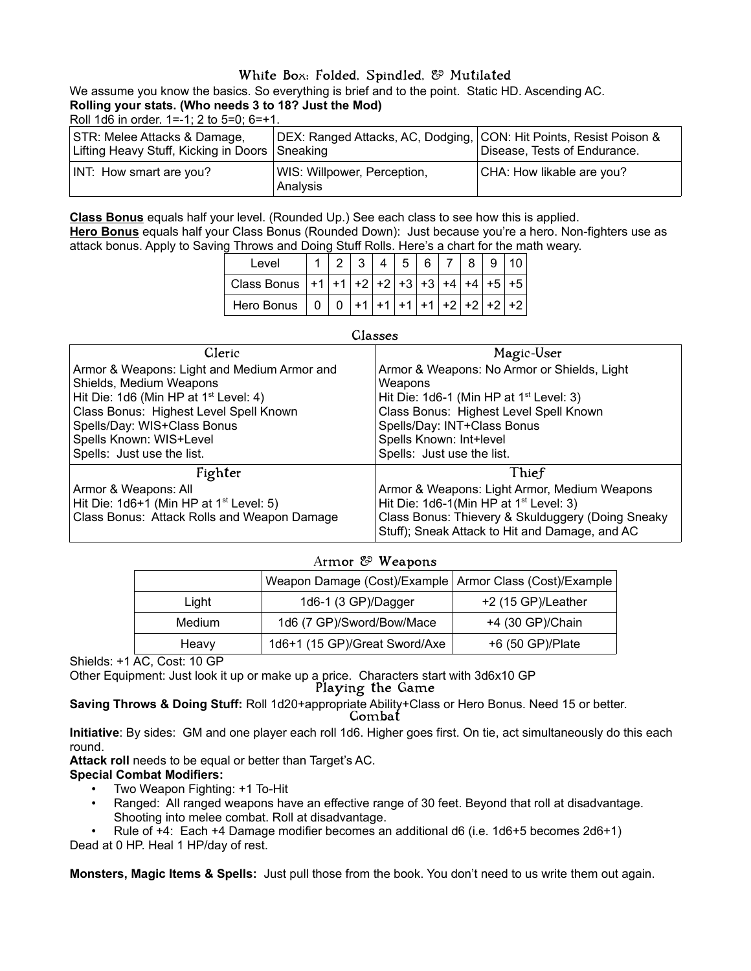# White Box: Folded, Spindled, & Mutilated

We assume you know the basics. So everything is brief and to the point. Static HD. Ascending AC. **Rolling your stats. (Who needs 3 to 18? Just the Mod)**

Roll 1d6 in order. 1=-1; 2 to 5=0; 6=+1.

| STR: Melee Attacks & Damage,<br>Lifting Heavy Stuff, Kicking in Doors Sneaking | DEX: Ranged Attacks, AC, Dodging, CON: Hit Points, Resist Poison & | Disease, Tests of Endurance. |
|--------------------------------------------------------------------------------|--------------------------------------------------------------------|------------------------------|
| INT: How smart are you?                                                        | WIS: Willpower, Perception,<br>Analysis                            | CHA: How likable are you?    |

**Class Bonus** equals half your level. (Rounded Up.) See each class to see how this is applied. **Hero Bonus** equals half your Class Bonus (Rounded Down): Just because you're a hero. Non-fighters use as attack bonus. Apply to Saving Throws and Doing Stuff Rolls. Here's a chart for the math weary.

| Level                                         |  |  |  |            |      |
|-----------------------------------------------|--|--|--|------------|------|
| Class Bonus $ +1 +1 +2 +2 +3 +3 +4 +4 +5 +5 $ |  |  |  |            |      |
| Hero Bonus                                    |  |  |  | $+2$ +2 +2 | $+2$ |

| Classes |
|---------|
|---------|

| Cleric                                      | Magic-User                                                                                          |
|---------------------------------------------|-----------------------------------------------------------------------------------------------------|
| Armor & Weapons: Light and Medium Armor and | Armor & Weapons: No Armor or Shields, Light                                                         |
| Shields, Medium Weapons                     | Weapons                                                                                             |
| Hit Die: 1d6 (Min HP at $1st$ Level: 4)     | Hit Die: 1d6-1 (Min HP at 1 <sup>st</sup> Level: 3)                                                 |
| Class Bonus: Highest Level Spell Known      | Class Bonus: Highest Level Spell Known                                                              |
| Spells/Day: WIS+Class Bonus                 | Spells/Day: INT+Class Bonus                                                                         |
| Spells Known: WIS+Level                     | Spells Known: Int+level                                                                             |
| Spells: Just use the list.                  | Spells: Just use the list.                                                                          |
| Fighter                                     | Thief                                                                                               |
| Armor & Weapons: All                        | Armor & Weapons: Light Armor, Medium Weapons                                                        |
| Hit Die: $1d6+1$ (Min HP at $1st$ Level: 5) | Hit Die: $1d6-1$ (Min HP at $1st$ Level: 3)                                                         |
| Class Bonus: Attack Rolls and Weapon Damage | Class Bonus: Thievery & Skulduggery (Doing Sneaky<br>Stuff); Sneak Attack to Hit and Damage, and AC |

## Armor & Weapons

|        | Weapon Damage (Cost)/Example   Armor Class (Cost)/Example |                    |
|--------|-----------------------------------------------------------|--------------------|
| Liaht  | 1d6-1 (3 GP)/Dagger                                       | +2 (15 GP)/Leather |
| Medium | 1d6 (7 GP)/Sword/Bow/Mace                                 | +4 (30 GP)/Chain   |
| Heavy  | 1d6+1 (15 GP)/Great Sword/Axe                             | +6 (50 GP)/Plate   |

Shields: +1 AC, Cost: 10 GP

Other Equipment: Just look it up or make up a price. Characters start with 3d6x10 GP

Playing the Game

**Saving Throws & Doing Stuff:** Roll 1d20+appropriate Ability+Class or Hero Bonus. Need 15 or better. Combat

**Initiative**: By sides: GM and one player each roll 1d6. Higher goes first. On tie, act simultaneously do this each round.

**Attack roll** needs to be equal or better than Target's AC.

## **Special Combat Modifiers:**

- Two Weapon Fighting: +1 To-Hit
- Ranged: All ranged weapons have an effective range of 30 feet. Beyond that roll at disadvantage. Shooting into melee combat. Roll at disadvantage.
- Rule of +4: Each +4 Damage modifier becomes an additional d6 (i.e. 1d6+5 becomes 2d6+1)

Dead at 0 HP. Heal 1 HP/day of rest.

**Monsters, Magic Items & Spells:** Just pull those from the book. You don't need to us write them out again.